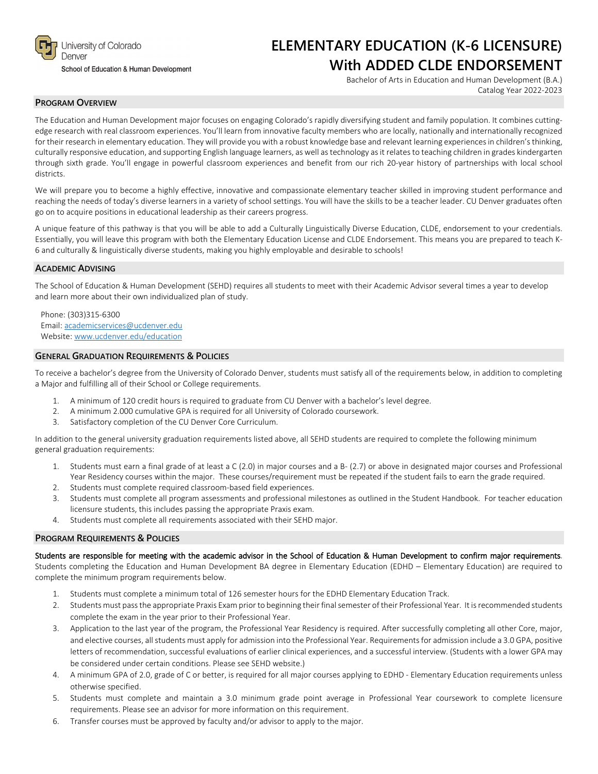

### School of Education & Human Development

## **ELEMENTARY EDUCATION (K-6 LICENSURE) With ADDED CLDE ENDORSEMENT**

Bachelor of Arts in Education and Human Development (B.A.) Catalog Year 2022-2023

## **PROGRAM OVERVIEW**

The Education and Human Development major focuses on engaging Colorado's rapidly diversifying student and family population. It combines cuttingedge research with real classroom experiences. You'll learn from innovative faculty members who are locally, nationally and internationally recognized for their research in elementary education. They will provide you with a robust knowledge base and relevant learning experiences in children's thinking, culturally responsive education, and supporting English language learners, as well as technology as it relates to teaching children in grades kindergarten through sixth grade. You'll engage in powerful classroom experiences and benefit from our rich 20-year history of partnerships with local school districts.

We will prepare you to become a highly effective, innovative and compassionate elementary teacher skilled in improving student performance and reaching the needs of today's diverse learners in a variety of school settings. You will have the skills to be a teacher leader. CU Denver graduates often go on to acquire positions in educational leadership as their careers progress.

A unique feature of this pathway is that you will be able to add a Culturally Linguistically Diverse Education, CLDE, endorsement to your credentials. Essentially, you will leave this program with both the Elementary Education License and CLDE Endorsement. This means you are prepared to teach K-6 and culturally & linguistically diverse students, making you highly employable and desirable to schools!

## **ACADEMIC ADVISING**

The School of Education & Human Development (SEHD) requires all students to meet with their Academic Advisor several times a year to develop and learn more about their own individualized plan of study.

Phone: (303)315-6300 Email: [academicservices@ucdenver.edu](mailto:academicservices@ucdenver.edu) Website[: www.ucdenver.edu/education](http://www.ucdenver.edu/education)

## **GENERAL GRADUATION REQUIREMENTS & POLICIES**

To receive a bachelor's degree from the University of Colorado Denver, students must satisfy all of the requirements below, in addition to completing a Major and fulfilling all of their School or College requirements.

- 1. A minimum of 120 credit hours is required to graduate from CU Denver with a bachelor's level degree.
- 2. A minimum 2.000 cumulative GPA is required for all University of Colorado coursework.
- 3. Satisfactory completion of the CU Denver Core Curriculum.

In addition to the general university graduation requirements listed above, all SEHD students are required to complete the following minimum general graduation requirements:

- 1. Students must earn a final grade of at least a C (2.0) in major courses and a B- (2.7) or above in designated major courses and Professional Year Residency courses within the major. These courses/requirement must be repeated if the student fails to earn the grade required.
- 2. Students must complete required classroom-based field experiences.
- 3. Students must complete all program assessments and professional milestones as outlined in the Student Handbook. For teacher education licensure students, this includes passing the appropriate Praxis exam.
- 4. Students must complete all requirements associated with their SEHD major.

## **PROGRAM REQUIREMENTS & POLICIES**

### Students are responsible for meeting with the academic advisor in the School of Education & Human Development to confirm major requirements.

Students completing the Education and Human Development BA degree in Elementary Education (EDHD – Elementary Education) are required to complete the minimum program requirements below.

- 1. Students must complete a minimum total of 126 semester hours for the EDHD Elementary Education Track.
- 2. Students must pass the appropriate Praxis Exam prior to beginning their final semester of their Professional Year. It is recommended students complete the exam in the year prior to their Professional Year.
- 3. Application to the last year of the program, the Professional Year Residency is required. After successfully completing all other Core, major, and elective courses, all students must apply for admission into the Professional Year. Requirements for admission include a 3.0 GPA, positive letters of recommendation, successful evaluations of earlier clinical experiences, and a successful interview. (Students with a lower GPA may be considered under certain conditions. Please see SEHD website.)
- 4. A minimum GPA of 2.0, grade of C or better, is required for all major courses applying to EDHD Elementary Education requirements unless otherwise specified.
- 5. Students must complete and maintain a 3.0 minimum grade point average in Professional Year coursework to complete licensure requirements. Please see an advisor for more information on this requirement.
- 6. Transfer courses must be approved by faculty and/or advisor to apply to the major.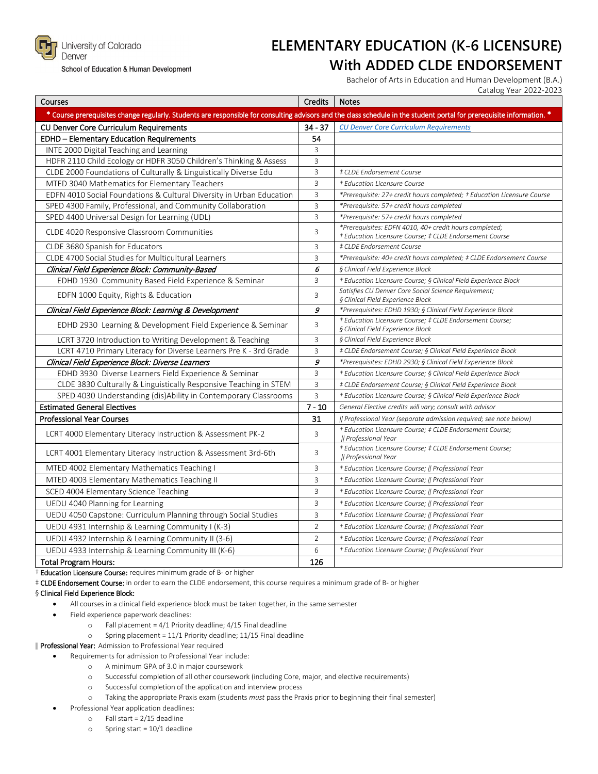

University of Colorado Denver

School of Education & Human Development

# **ELEMENTARY EDUCATION (K-6 LICENSURE) With ADDED CLDE ENDORSEMENT**

Bachelor of Arts in Education and Human Development (B.A.) Catalog Year 2022-2023

| Courses                                                                                                                                                                | Credits        | <b>Notes</b>                                                                                                      |  |  |  |  |
|------------------------------------------------------------------------------------------------------------------------------------------------------------------------|----------------|-------------------------------------------------------------------------------------------------------------------|--|--|--|--|
| * Course prerequisites change regularly. Students are responsible for consulting advisors and the class schedule in the student portal for prerequisite information. * |                |                                                                                                                   |  |  |  |  |
| CU Denver Core Curriculum Requirements                                                                                                                                 | $34 - 37$      | <b>CU Denver Core Curriculum Requirements</b>                                                                     |  |  |  |  |
| EDHD - Elementary Education Requirements                                                                                                                               | 54             |                                                                                                                   |  |  |  |  |
| INTE 2000 Digital Teaching and Learning                                                                                                                                | 3              |                                                                                                                   |  |  |  |  |
| HDFR 2110 Child Ecology or HDFR 3050 Children's Thinking & Assess                                                                                                      | 3              |                                                                                                                   |  |  |  |  |
| CLDE 2000 Foundations of Culturally & Linguistically Diverse Edu                                                                                                       | 3              | # CLDE Endorsement Course                                                                                         |  |  |  |  |
| MTED 3040 Mathematics for Elementary Teachers                                                                                                                          | 3              | † Education Licensure Course                                                                                      |  |  |  |  |
| EDFN 4010 Social Foundations & Cultural Diversity in Urban Education                                                                                                   | 3              | *Prerequisite: 27+ credit hours completed; † Education Licensure Course                                           |  |  |  |  |
| SPED 4300 Family, Professional, and Community Collaboration                                                                                                            | 3              | *Prerequisite: 57+ credit hours completed                                                                         |  |  |  |  |
| SPED 4400 Universal Design for Learning (UDL)                                                                                                                          | 3              | *Prerequisite: 57+ credit hours completed                                                                         |  |  |  |  |
| CLDE 4020 Responsive Classroom Communities                                                                                                                             | 3              | *Prerequisites: EDFN 4010, 40+ credit hours completed;<br>+ Education Licensure Course; # CLDE Endorsement Course |  |  |  |  |
| CLDE 3680 Spanish for Educators                                                                                                                                        | 3              | # CLDE Endorsement Course                                                                                         |  |  |  |  |
| CLDE 4700 Social Studies for Multicultural Learners                                                                                                                    | 3              | *Prerequisite: 40+ credit hours completed; # CLDE Endorsement Course                                              |  |  |  |  |
| Clinical Field Experience Block: Community-Based                                                                                                                       | 6              | § Clinical Field Experience Block                                                                                 |  |  |  |  |
| EDHD 1930 Community Based Field Experience & Seminar                                                                                                                   | 3              | + Education Licensure Course; § Clinical Field Experience Block                                                   |  |  |  |  |
| EDFN 1000 Equity, Rights & Education                                                                                                                                   | 3              | Satisfies CU Denver Core Social Science Requirement;<br>§ Clinical Field Experience Block                         |  |  |  |  |
| Clinical Field Experience Block: Learning & Development                                                                                                                | 9              | *Prerequisites: EDHD 1930; § Clinical Field Experience Block                                                      |  |  |  |  |
| EDHD 2930 Learning & Development Field Experience & Seminar                                                                                                            | 3              | + Education Licensure Course; # CLDE Endorsement Course;<br>§ Clinical Field Experience Block                     |  |  |  |  |
| LCRT 3720 Introduction to Writing Development & Teaching                                                                                                               | 3              | § Clinical Field Experience Block                                                                                 |  |  |  |  |
| LCRT 4710 Primary Literacy for Diverse Learners Pre K - 3rd Grade                                                                                                      | 3              | # CLDE Endorsement Course; § Clinical Field Experience Block                                                      |  |  |  |  |
| Clinical Field Experience Block: Diverse Learners                                                                                                                      | 9              | *Prerequisites: EDHD 2930; § Clinical Field Experience Block                                                      |  |  |  |  |
| EDHD 3930 Diverse Learners Field Experience & Seminar                                                                                                                  | 3              | + Education Licensure Course; § Clinical Field Experience Block                                                   |  |  |  |  |
| CLDE 3830 Culturally & Linguistically Responsive Teaching in STEM                                                                                                      | 3              | # CLDE Endorsement Course; § Clinical Field Experience Block                                                      |  |  |  |  |
| SPED 4030 Understanding (dis)Ability in Contemporary Classrooms                                                                                                        | 3              | + Education Licensure Course; § Clinical Field Experience Block                                                   |  |  |  |  |
| <b>Estimated General Electives</b>                                                                                                                                     | $7 - 10$       | General Elective credits will vary; consult with advisor                                                          |  |  |  |  |
| <b>Professional Year Courses</b>                                                                                                                                       | 31             | [  Professional Year (separate admission required; see note below)                                                |  |  |  |  |
| LCRT 4000 Elementary Literacy Instruction & Assessment PK-2                                                                                                            | 3              | † Education Licensure Course; ‡ CLDE Endorsement Course;<br>   Professional Year                                  |  |  |  |  |
| LCRT 4001 Elementary Literacy Instruction & Assessment 3rd-6th                                                                                                         | 3              | + Education Licensure Course; # CLDE Endorsement Course;<br>   Professional Year                                  |  |  |  |  |
| MTED 4002 Elementary Mathematics Teaching I                                                                                                                            | 3              | + Education Licensure Course;    Professional Year                                                                |  |  |  |  |
| MTED 4003 Elementary Mathematics Teaching II                                                                                                                           | 3              | + Education Licensure Course;    Professional Year                                                                |  |  |  |  |
| SCED 4004 Elementary Science Teaching                                                                                                                                  | 3              | + Education Licensure Course;    Professional Year                                                                |  |  |  |  |
| UEDU 4040 Planning for Learning                                                                                                                                        | 3              | + Education Licensure Course;    Professional Year                                                                |  |  |  |  |
| UEDU 4050 Capstone: Curriculum Planning through Social Studies                                                                                                         | 3              | † Education Licensure Course;    Professional Year                                                                |  |  |  |  |
| UEDU 4931 Internship & Learning Community I (K-3)                                                                                                                      | $\overline{2}$ | + Education Licensure Course;    Professional Year                                                                |  |  |  |  |
| UEDU 4932 Internship & Learning Community II (3-6)                                                                                                                     | $\overline{2}$ | † Education Licensure Course;    Professional Year                                                                |  |  |  |  |
| UEDU 4933 Internship & Learning Community III (K-6)                                                                                                                    | 6              | + Education Licensure Course;    Professional Year                                                                |  |  |  |  |
| <b>Total Program Hours:</b>                                                                                                                                            | 126            |                                                                                                                   |  |  |  |  |

† Education Licensure Course: requires minimum grade of B- or higher

‡ CLDE Endorsement Course: in order to earn the CLDE endorsement, this course requires a minimum grade of B- or higher

#### § Clinical Field Experience Block:

- All courses in a clinical field experience block must be taken together, in the same semester
- Field experience paperwork deadlines:
	- o Fall placement =  $4/1$  Priority deadline;  $4/15$  Final deadline<br>
	o Spring placement =  $11/1$  Priority deadline;  $11/15$  Final dea
		- Spring placement =  $11/1$  Priority deadline;  $11/15$  Final deadline

‖ Professional Year: Admission to Professional Year required

• Requirements for admission to Professional Year include:

- o A minimum GPA of 3.0 in major coursework
- o Successful completion of all other coursework (including Core, major, and elective requirements)
- o Successful completion of the application and interview process
- o Taking the appropriate Praxis exam (students *must* pass the Praxis prior to beginning their final semester)
- Professional Year application deadlines:
	- o Fall start = 2/15 deadline
	- o Spring start = 10/1 deadline